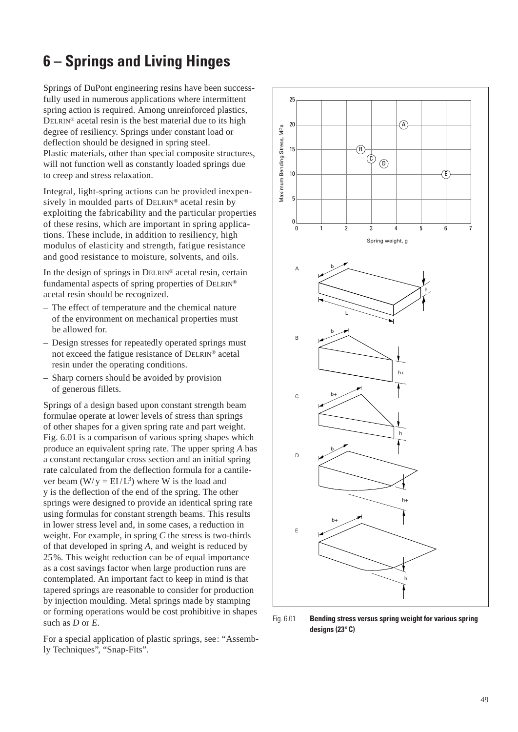## **6 – Springs and Living Hinges**

Springs of DuPont engineering resins have been successfully used in numerous applications where intermittent spring action is required. Among unreinforced plastics, DELRIN® acetal resin is the best material due to its high degree of resiliency. Springs under constant load or deflection should be designed in spring steel. Plastic materials, other than special composite structures, will not function well as constantly loaded springs due to creep and stress relaxation.

Integral, light-spring actions can be provided inexpensively in moulded parts of DELRIN® acetal resin by exploiting the fabricability and the particular properties of these resins, which are important in spring applications. These include, in addition to resiliency, high modulus of elasticity and strength, fatigue resistance and good resistance to moisture, solvents, and oils.

In the design of springs in DELRIN® acetal resin, certain fundamental aspects of spring properties of DELRIN® acetal resin should be recognized.

- The effect of temperature and the chemical nature of the environment on mechanical properties must be allowed for.
- Design stresses for repeatedly operated springs must not exceed the fatigue resistance of DELRIN® acetal resin under the operating conditions.
- Sharp corners should be avoided by provision of generous fillets.

Springs of a design based upon constant strength beam formulae operate at lower levels of stress than springs of other shapes for a given spring rate and part weight. Fig. 6.01 is a comparison of various spring shapes which produce an equivalent spring rate. The upper spring *A* has a constant rectangular cross section and an initial spring rate calculated from the deflection formula for a cantilever beam  $(W/y = EI/L^3)$  where W is the load and y is the deflection of the end of the spring. The other springs were designed to provide an identical spring rate using formulas for constant strength beams. This results in lower stress level and, in some cases, a reduction in weight. For example, in spring *C* the stress is two-thirds of that developed in spring *A*, and weight is reduced by 25%. This weight reduction can be of equal importance as a cost savings factor when large production runs are contemplated. An important fact to keep in mind is that tapered springs are reasonable to consider for production by injection moulding. Metal springs made by stamping or forming operations would be cost prohibitive in shapes such as *D* or *E*.

For a special application of plastic springs, see: "Assembly Techniques", "Snap-Fits".



Fig. 6.01 **Bending stress versus spring weight for various spring designs (23°C)**